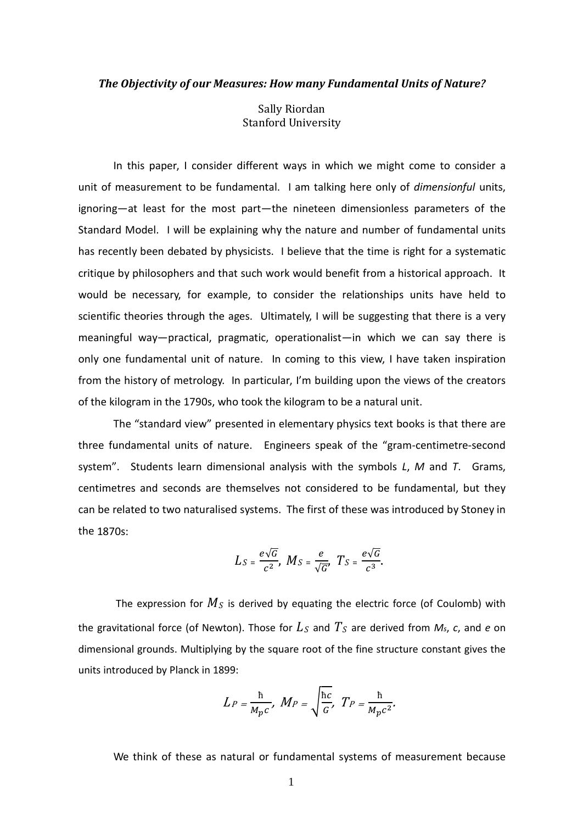## *The Objectivity of our Measures: How many Fundamental Units of Nature?*

Sally Riordan Stanford University

In this paper, I consider different ways in which we might come to consider a unit of measurement to be fundamental. I am talking here only of *dimensionful* units, ignoring—at least for the most part—the nineteen dimensionless parameters of the Standard Model. I will be explaining why the nature and number of fundamental units has recently been debated by physicists. I believe that the time is right for a systematic critique by philosophers and that such work would benefit from a historical approach. It would be necessary, for example, to consider the relationships units have held to scientific theories through the ages. Ultimately, I will be suggesting that there is a very meaningful way—practical, pragmatic, operationalist—in which we can say there is only one fundamental unit of nature. In coming to this view, I have taken inspiration from the history of metrology. In particular, I'm building upon the views of the creators of the kilogram in the 1790s, who took the kilogram to be a natural unit.

The "standard view" presented in elementary physics text books is that there are three fundamental units of nature. Engineers speak of the "gram-centimetre-second system". Students learn dimensional analysis with the symbols *L*, *M* and *T*. Grams, centimetres and seconds are themselves not considered to be fundamental, but they can be related to two naturalised systems. The first of these was introduced by Stoney in the 1870s:

$$
L_S = \frac{e\sqrt{G}}{c^2}, \ M_S = \frac{e}{\sqrt{G}}, \ T_S = \frac{e\sqrt{G}}{c^3}.
$$

The expression for  $M_S$  is derived by equating the electric force (of Coulomb) with the gravitational force (of Newton). Those for  $L<sub>S</sub>$  and  $T<sub>S</sub>$  are derived from  $M<sub>S</sub>$ ,  $c$ , and  $e$  on dimensional grounds. Multiplying by the square root of the fine structure constant gives the units introduced by Planck in 1899:

$$
L_P = \frac{\hbar}{M_p c}, \ M_P = \sqrt{\frac{\hbar c}{G}}, \ T_P = \frac{\hbar}{M_p c^2}.
$$

We think of these as natural or fundamental systems of measurement because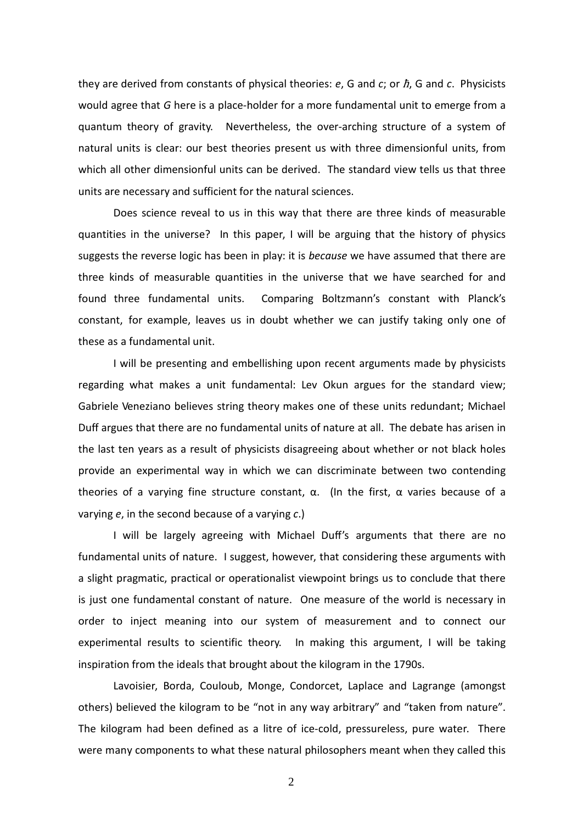they are derived from constants of physical theories: *e*, G and *c*; or ħ, G and *c*. Physicists would agree that *G* here is a place-holder for a more fundamental unit to emerge from a quantum theory of gravity. Nevertheless, the over-arching structure of a system of natural units is clear: our best theories present us with three dimensionful units, from which all other dimensionful units can be derived. The standard view tells us that three units are necessary and sufficient for the natural sciences.

Does science reveal to us in this way that there are three kinds of measurable quantities in the universe? In this paper, I will be arguing that the history of physics suggests the reverse logic has been in play: it is *because* we have assumed that there are three kinds of measurable quantities in the universe that we have searched for and found three fundamental units. Comparing Boltzmann's constant with Planck's constant, for example, leaves us in doubt whether we can justify taking only one of these as a fundamental unit.

I will be presenting and embellishing upon recent arguments made by physicists regarding what makes a unit fundamental: Lev Okun argues for the standard view; Gabriele Veneziano believes string theory makes one of these units redundant; Michael Duff argues that there are no fundamental units of nature at all. The debate has arisen in the last ten years as a result of physicists disagreeing about whether or not black holes provide an experimental way in which we can discriminate between two contending theories of a varying fine structure constant,  $\alpha$ . (In the first,  $\alpha$  varies because of a varying *e*, in the second because of a varying *c*.)

I will be largely agreeing with Michael Duff's arguments that there are no fundamental units of nature. I suggest, however, that considering these arguments with a slight pragmatic, practical or operationalist viewpoint brings us to conclude that there is just one fundamental constant of nature. One measure of the world is necessary in order to inject meaning into our system of measurement and to connect our experimental results to scientific theory. In making this argument, I will be taking inspiration from the ideals that brought about the kilogram in the 1790s.

Lavoisier, Borda, Couloub, Monge, Condorcet, Laplace and Lagrange (amongst others) believed the kilogram to be "not in any way arbitrary" and "taken from nature". The kilogram had been defined as a litre of ice-cold, pressureless, pure water. There were many components to what these natural philosophers meant when they called this

2